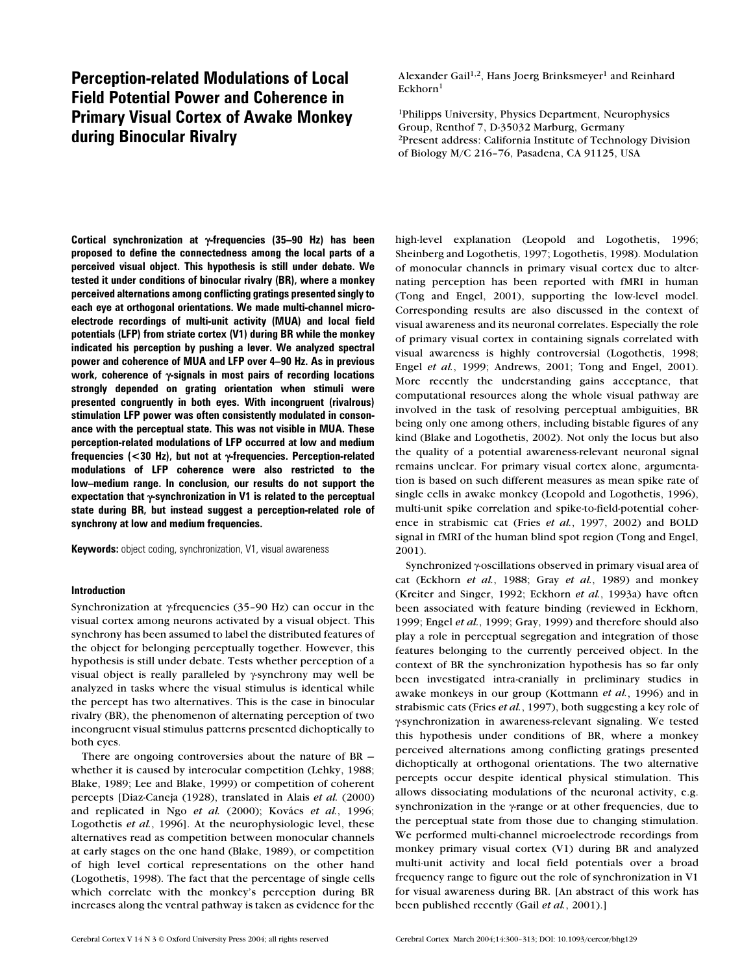# **Perception-related Modulations of Local Field Potential Power and Coherence in Primary Visual Cortex of Awake Monkey during Binocular Rivalry**

**Cortical synchronization at** γ**-frequencies (35–90 Hz) has been proposed to define the connectedness among the local parts of a perceived visual object. This hypothesis is still under debate. We tested it under conditions of binocular rivalry (BR), where a monkey perceived alternations among conflicting gratings presented singly to each eye at orthogonal orientations. We made multi-channel microelectrode recordings of multi-unit activity (MUA) and local field potentials (LFP) from striate cortex (V1) during BR while the monkey indicated his perception by pushing a lever. We analyzed spectral power and coherence of MUA and LFP over 4–90 Hz. As in previous work, coherence of** γ**-signals in most pairs of recording locations strongly depended on grating orientation when stimuli were presented congruently in both eyes. With incongruent (rivalrous) stimulation LFP power was often consistently modulated in consonance with the perceptual state. This was not visible in MUA. These perception-related modulations of LFP occurred at low and medium frequencies (<30 Hz), but not at** γ**-frequencies. Perception-related modulations of LFP coherence were also restricted to the low–medium range. In conclusion, our results do not support the expectation that** γ**-synchronization in V1 is related to the perceptual state during BR, but instead suggest a perception-related role of synchrony at low and medium frequencies.**

**Keywords:** object coding, synchronization, V1, visual awareness

### **Introduction**

Synchronization at γ-frequencies (35–90 Hz) can occur in the visual cortex among neurons activated by a visual object. This synchrony has been assumed to label the distributed features of the object for belonging perceptually together. However, this hypothesis is still under debate. Tests whether perception of a visual object is really paralleled by γ-synchrony may well be analyzed in tasks where the visual stimulus is identical while the percept has two alternatives. This is the case in binocular rivalry (BR), the phenomenon of alternating perception of two incongruent visual stimulus patterns presented dichoptically to both eyes.

There are ongoing controversies about the nature of BR whether it is caused by interocular competition (Lehky, 1988; Blake, 1989; Lee and Blake, 1999) or competition of coherent percepts [Diaz-Caneja (1928), translated in Alais *et al.* (2000) and replicated in Ngo *et al.* (2000); Kovács *et al.*, 1996; Logothetis *et al.*, 1996]. At the neurophysiologic level, these alternatives read as competition between monocular channels at early stages on the one hand (Blake, 1989), or competition of high level cortical representations on the other hand (Logothetis, 1998). The fact that the percentage of single cells which correlate with the monkey's perception during BR increases along the ventral pathway is taken as evidence for the Alexander Gail<sup>1,2</sup>, Hans Joerg Brinksmeyer<sup>1</sup> and Reinhard Eckhorn<sup>1</sup>

1Philipps University, Physics Department, Neurophysics Group, Renthof 7, D-35032 Marburg, Germany 2Present address: California Institute of Technology Division of Biology M/C 216–76, Pasadena, CA 91125, USA

high-level explanation (Leopold and Logothetis, 1996; Sheinberg and Logothetis, 1997; Logothetis, 1998). Modulation of monocular channels in primary visual cortex due to alternating perception has been reported with fMRI in human (Tong and Engel, 2001), supporting the low-level model. Corresponding results are also discussed in the context of visual awareness and its neuronal correlates. Especially the role of primary visual cortex in containing signals correlated with visual awareness is highly controversial (Logothetis, 1998; Engel *et al.*, 1999; Andrews, 2001; Tong and Engel, 2001). More recently the understanding gains acceptance, that computational resources along the whole visual pathway are involved in the task of resolving perceptual ambiguities, BR being only one among others, including bistable figures of any kind (Blake and Logothetis, 2002). Not only the locus but also the quality of a potential awareness-relevant neuronal signal remains unclear. For primary visual cortex alone, argumentation is based on such different measures as mean spike rate of single cells in awake monkey (Leopold and Logothetis, 1996), multi-unit spike correlation and spike-to-field-potential coherence in strabismic cat (Fries *et al.*, 1997, 2002) and BOLD signal in fMRI of the human blind spot region (Tong and Engel, 2001).

Synchronized γ-oscillations observed in primary visual area of cat (Eckhorn *et al.*, 1988; Gray *et al.*, 1989) and monkey (Kreiter and Singer, 1992; Eckhorn *et al.*, 1993a) have often been associated with feature binding (reviewed in Eckhorn, 1999; Engel *et al.*, 1999; Gray, 1999) and therefore should also play a role in perceptual segregation and integration of those features belonging to the currently perceived object. In the context of BR the synchronization hypothesis has so far only been investigated intra-cranially in preliminary studies in awake monkeys in our group (Kottmann *et al.*, 1996) and in strabismic cats (Fries *et al.*, 1997), both suggesting a key role of γ-synchronization in awareness-relevant signaling. We tested this hypothesis under conditions of BR, where a monkey perceived alternations among conflicting gratings presented dichoptically at orthogonal orientations. The two alternative percepts occur despite identical physical stimulation. This allows dissociating modulations of the neuronal activity, e.g. synchronization in the γ-range or at other frequencies, due to the perceptual state from those due to changing stimulation. We performed multi-channel microelectrode recordings from monkey primary visual cortex (V1) during BR and analyzed multi-unit activity and local field potentials over a broad frequency range to figure out the role of synchronization in V1 for visual awareness during BR. [An abstract of this work has been published recently (Gail *et al.*, 2001).]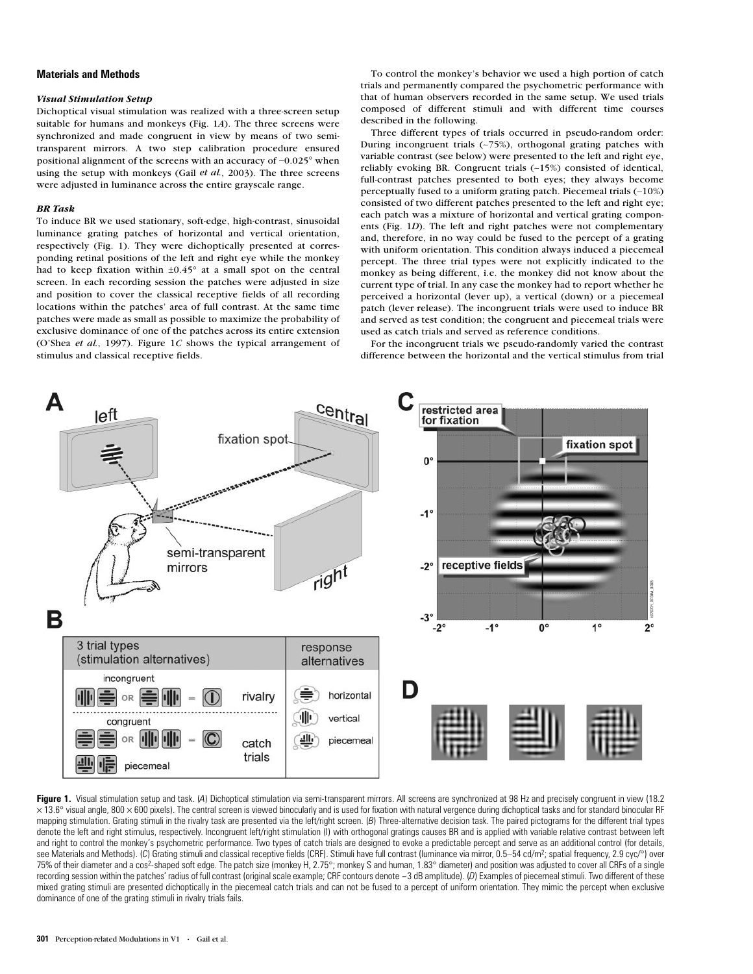# **Materials and Methods**

#### *Visual Stimulation Setup*

Dichoptical visual stimulation was realized with a three-screen setup suitable for humans and monkeys (Fig. 1*A*). The three screens were synchronized and made congruent in view by means of two semitransparent mirrors. A two step calibration procedure ensured positional alignment of the screens with an accuracy of ∼0.025° when using the setup with monkeys (Gail *et al.*, 2003). The three screens were adjusted in luminance across the entire grayscale range.

#### *BR Task*

To induce BR we used stationary, soft-edge, high-contrast, sinusoidal luminance grating patches of horizontal and vertical orientation, respectively (Fig. 1). They were dichoptically presented at corresponding retinal positions of the left and right eye while the monkey had to keep fixation within  $\pm 0.45^\circ$  at a small spot on the central screen. In each recording session the patches were adjusted in size and position to cover the classical receptive fields of all recording locations within the patches' area of full contrast. At the same time patches were made as small as possible to maximize the probability of exclusive dominance of one of the patches across its entire extension (O'Shea *et al.*, 1997). Figure 1*C* shows the typical arrangement of stimulus and classical receptive fields.

To control the monkey's behavior we used a high portion of catch trials and permanently compared the psychometric performance with that of human observers recorded in the same setup. We used trials composed of different stimuli and with different time courses described in the following.

Three different types of trials occurred in pseudo-random order: During incongruent trials (∼75%), orthogonal grating patches with variable contrast (see below) were presented to the left and right eye, reliably evoking BR. Congruent trials (∼15%) consisted of identical, full-contrast patches presented to both eyes; they always become perceptually fused to a uniform grating patch. Piecemeal trials (∼10%) consisted of two different patches presented to the left and right eye; each patch was a mixture of horizontal and vertical grating components (Fig. 1*D*). The left and right patches were not complementary and, therefore, in no way could be fused to the percept of a grating with uniform orientation. This condition always induced a piecemeal percept. The three trial types were not explicitly indicated to the monkey as being different, i.e. the monkey did not know about the current type of trial. In any case the monkey had to report whether he perceived a horizontal (lever up), a vertical (down) or a piecemeal patch (lever release). The incongruent trials were used to induce BR and served as test condition; the congruent and piecemeal trials were used as catch trials and served as reference conditions.

For the incongruent trials we pseudo-randomly varied the contrast difference between the horizontal and the vertical stimulus from trial



Figure 1. Visual stimulation setup and task. (A) Dichoptical stimulation via semi-transparent mirrors. All screens are synchronized at 98 Hz and precisely congruent in view (18.2  $\times$ 13.6° visual angle, 800  $\times$  600 pixels). The central screen is viewed binocularly and is used for fixation with natural vergence during dichoptical tasks and for standard binocular RF mapping stimulation. Grating stimuli in the rivalry task are presented via the left/right screen. (*B*) Three-alternative decision task. The paired pictograms for the different trial types denote the left and right stimulus, respectively. Incongruent left/right stimulation (I) with orthogonal gratings causes BR and is applied with variable relative contrast between left and right to control the monkey's psychometric performance. Two types of catch trials are designed to evoke a predictable percept and serve as an additional control (for details, see Materials and Methods). (*C*) Grating stimuli and classical receptive fields (CRF). Stimuli have full contrast (luminance via mirror, 0.5–54 cd/m<sup>2</sup>; spatial frequency, 2.9 cyc/°) over 75% of their diameter and a cos2-shaped soft edge. The patch size (monkey H, 2.75°; monkey S and human, 1.83° diameter) and position was adjusted to cover all CRFs of a single recording session within the patches' radius of full contrast (original scale example; CRF contours denote -3 dB amplitude). (D) Examples of piecemeal stimuli. Two different of these mixed grating stimuli are presented dichoptically in the piecemeal catch trials and can not be fused to a percept of uniform orientation. They mimic the percept when exclusive dominance of one of the grating stimuli in rivalry trials fails.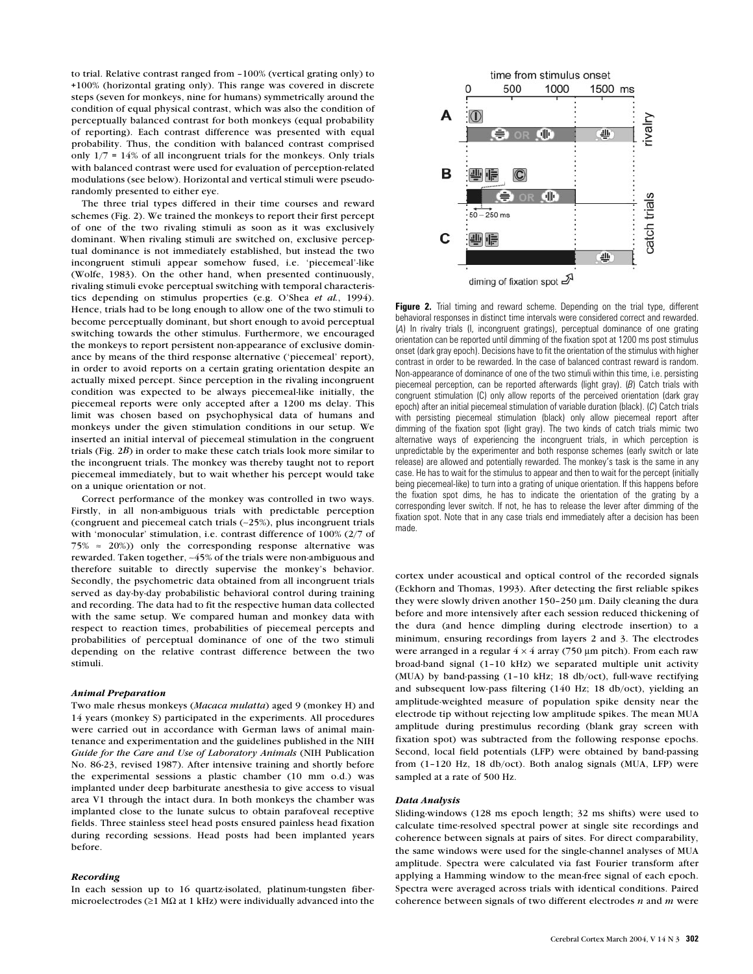to trial. Relative contrast ranged from –100% (vertical grating only) to +100% (horizontal grating only). This range was covered in discrete steps (seven for monkeys, nine for humans) symmetrically around the condition of equal physical contrast, which was also the condition of perceptually balanced contrast for both monkeys (equal probability of reporting). Each contrast difference was presented with equal probability. Thus, the condition with balanced contrast comprised only 1/7 = 14% of all incongruent trials for the monkeys. Only trials with balanced contrast were used for evaluation of perception-related modulations (see below). Horizontal and vertical stimuli were pseudorandomly presented to either eye.

The three trial types differed in their time courses and reward schemes (Fig. 2). We trained the monkeys to report their first percept of one of the two rivaling stimuli as soon as it was exclusively dominant. When rivaling stimuli are switched on, exclusive perceptual dominance is not immediately established, but instead the two incongruent stimuli appear somehow fused, i.e. 'piecemeal'-like (Wolfe, 1983). On the other hand, when presented continuously, rivaling stimuli evoke perceptual switching with temporal characteristics depending on stimulus properties (e.g. O'Shea *et al.*, 1994). Hence, trials had to be long enough to allow one of the two stimuli to become perceptually dominant, but short enough to avoid perceptual switching towards the other stimulus. Furthermore, we encouraged the monkeys to report persistent non-appearance of exclusive dominance by means of the third response alternative ('piecemeal' report), in order to avoid reports on a certain grating orientation despite an actually mixed percept. Since perception in the rivaling incongruent condition was expected to be always piecemeal-like initially, the piecemeal reports were only accepted after a 1200 ms delay. This limit was chosen based on psychophysical data of humans and monkeys under the given stimulation conditions in our setup. We inserted an initial interval of piecemeal stimulation in the congruent trials (Fig. 2*B*) in order to make these catch trials look more similar to the incongruent trials. The monkey was thereby taught not to report piecemeal immediately, but to wait whether his percept would take on a unique orientation or not.

Correct performance of the monkey was controlled in two ways. Firstly, in all non-ambiguous trials with predictable perception (congruent and piecemeal catch trials (∼25%), plus incongruent trials with 'monocular' stimulation, i.e. contrast difference of 100% (2/7 of 75%  $\approx$  20%)) only the corresponding response alternative was rewarded. Taken together, ∼45% of the trials were non-ambiguous and therefore suitable to directly supervise the monkey's behavior. Secondly, the psychometric data obtained from all incongruent trials served as day-by-day probabilistic behavioral control during training and recording. The data had to fit the respective human data collected with the same setup. We compared human and monkey data with respect to reaction times, probabilities of piecemeal percepts and probabilities of perceptual dominance of one of the two stimuli depending on the relative contrast difference between the two stimuli.

#### *Animal Preparation*

Two male rhesus monkeys (*Macaca mulatta*) aged 9 (monkey H) and 14 years (monkey S) participated in the experiments. All procedures were carried out in accordance with German laws of animal maintenance and experimentation and the guidelines published in the NIH *Guide for the Care and Use of Laboratory Animals* (NIH Publication No. 86-23, revised 1987). After intensive training and shortly before the experimental sessions a plastic chamber (10 mm o.d.) was implanted under deep barbiturate anesthesia to give access to visual area V1 through the intact dura. In both monkeys the chamber was implanted close to the lunate sulcus to obtain parafoveal receptive fields. Three stainless steel head posts ensured painless head fixation during recording sessions. Head posts had been implanted years before.

### *Recording*

In each session up to 16 quartz-isolated, platinum-tungsten fibermicroelectrodes ( $\geq$ 1 M $\Omega$  at 1 kHz) were individually advanced into the



**Figure 2.** Trial timing and reward scheme. Depending on the trial type, different behavioral responses in distinct time intervals were considered correct and rewarded. (*A*) In rivalry trials (I, incongruent gratings), perceptual dominance of one grating orientation can be reported until dimming of the fixation spot at 1200 ms post stimulus onset (dark gray epoch). Decisions have to fit the orientation of the stimulus with higher contrast in order to be rewarded. In the case of balanced contrast reward is random. Non-appearance of dominance of one of the two stimuli within this time, i.e. persisting piecemeal perception, can be reported afterwards (light gray). (*B*) Catch trials with congruent stimulation (C) only allow reports of the perceived orientation (dark gray epoch) after an initial piecemeal stimulation of variable duration (black). (*C*) Catch trials with persisting piecemeal stimulation (black) only allow piecemeal report after dimming of the fixation spot (light gray). The two kinds of catch trials mimic two alternative ways of experiencing the incongruent trials, in which perception is unpredictable by the experimenter and both response schemes (early switch or late release) are allowed and potentially rewarded. The monkey's task is the same in any case. He has to wait for the stimulus to appear and then to wait for the percept (initially being piecemeal-like) to turn into a grating of unique orientation. If this happens before the fixation spot dims, he has to indicate the orientation of the grating by a corresponding lever switch. If not, he has to release the lever after dimming of the fixation spot. Note that in any case trials end immediately after a decision has been made.

cortex under acoustical and optical control of the recorded signals (Eckhorn and Thomas, 1993). After detecting the first reliable spikes they were slowly driven another 150–250 µm. Daily cleaning the dura before and more intensively after each session reduced thickening of the dura (and hence dimpling during electrode insertion) to a minimum, ensuring recordings from layers 2 and 3. The electrodes were arranged in a regular  $4 \times 4$  array (750 µm pitch). From each raw broad-band signal (1–10 kHz) we separated multiple unit activity (MUA) by band-passing (1–10 kHz; 18 db/oct), full-wave rectifying and subsequent low-pass filtering (140 Hz; 18 db/oct), yielding an amplitude-weighted measure of population spike density near the electrode tip without rejecting low amplitude spikes. The mean MUA amplitude during prestimulus recording (blank gray screen with fixation spot) was subtracted from the following response epochs. Second, local field potentials (LFP) were obtained by band-passing from (1–120 Hz, 18 db/oct). Both analog signals (MUA, LFP) were sampled at a rate of 500 Hz.

#### *Data Analysis*

Sliding-windows (128 ms epoch length; 32 ms shifts) were used to calculate time-resolved spectral power at single site recordings and coherence between signals at pairs of sites. For direct comparability, the same windows were used for the single-channel analyses of MUA amplitude. Spectra were calculated via fast Fourier transform after applying a Hamming window to the mean-free signal of each epoch. Spectra were averaged across trials with identical conditions. Paired coherence between signals of two different electrodes *n* and *m* were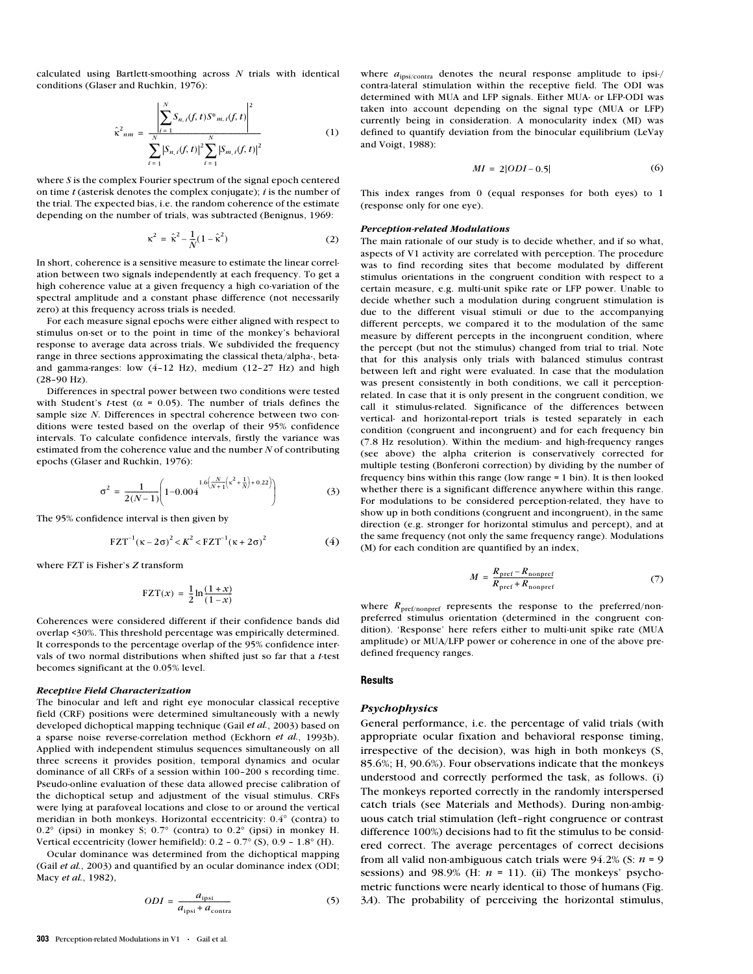calculated using Bartlett-smoothing across *N* trials with identical conditions (Glaser and Ruchkin, 1976):

$$
\hat{\kappa}^{2}_{nm} = \frac{\left| \sum_{i=1}^{N} S_{n,i}(f,t) S^{*}_{m,i}(f,t) \right|^{2}}{\sum_{i=1}^{N} \left| S_{n,i}(f,t) \right|^{2} \sum_{i=1}^{N} \left| S_{m,i}(f,t) \right|^{2}}
$$
(1)

where *S* is the complex Fourier spectrum of the signal epoch centered on time *t* (asterisk denotes the complex conjugate); *i* is the number of the trial. The expected bias, i.e. the random coherence of the estimate depending on the number of trials, was subtracted (Benignus, 1969:

$$
\kappa^2 = \hat{\kappa}^2 - \frac{1}{N} (1 - \hat{\kappa}^2)
$$
 (2)

In short, coherence is a sensitive measure to estimate the linear correlation between two signals independently at each frequency. To get a high coherence value at a given frequency a high co-variation of the spectral amplitude and a constant phase difference (not necessarily zero) at this frequency across trials is needed.

For each measure signal epochs were either aligned with respect to stimulus on-set or to the point in time of the monkey's behavioral response to average data across trials. We subdivided the frequency range in three sections approximating the classical theta/alpha-, betaand gamma-ranges: low (4–12 Hz), medium (12–27 Hz) and high (28–90 Hz).

Differences in spectral power between two conditions were tested with Student's *t*-test ( $\alpha$  = 0.05). The number of trials defines the sample size *N*. Differences in spectral coherence between two conditions were tested based on the overlap of their 95% confidence intervals. To calculate confidence intervals, firstly the variance was estimated from the coherence value and the number *N* of contributing epochs (Glaser and Ruchkin, 1976):

$$
\sigma^2 = \frac{1}{2(N-1)} \left( 1 - 0.004 \frac{1.6 \left( \frac{N}{N+1} \left( \kappa^2 + \frac{1}{N} \right) + 0.22 \right)}{2(N-1)} \right) \tag{3}
$$

The 95% confidence interval is then given by

$$
FZT^{-1} (κ – 2σ)2 < K2 < FZT^{-1} (κ + 2σ)2
$$
 (4)

where FZT is Fisher's *Z* transform

$$
\text{FZT}(x) = \frac{1}{2} \ln \frac{(1+x)}{(1-x)}
$$

Coherences were considered different if their confidence bands did overlap <30%. This threshold percentage was empirically determined. It corresponds to the percentage overlap of the 95% confidence intervals of two normal distributions when shifted just so far that a *t*-test becomes significant at the 0.05% level.

#### *Receptive Field Characterization*

The binocular and left and right eye monocular classical receptive field (CRF) positions were determined simultaneously with a newly developed dichoptical mapping technique (Gail *et al.*, 2003) based on a sparse noise reverse-correlation method (Eckhorn *et al.*, 1993b). Applied with independent stimulus sequences simultaneously on all three screens it provides position, temporal dynamics and ocular dominance of all CRFs of a session within 100–200 s recording time. Pseudo-online evaluation of these data allowed precise calibration of the dichoptical setup and adjustment of the visual stimulus. CRFs were lying at parafoveal locations and close to or around the vertical meridian in both monkeys. Horizontal eccentricity: 0.4° (contra) to 0.2° (ipsi) in monkey S; 0.7° (contra) to 0.2° (ipsi) in monkey H. Vertical eccentricity (lower hemifield): 0.2 – 0.7° (S), 0.9 – 1.8° (H).

Ocular dominance was determined from the dichoptical mapping (Gail *et al.*, 2003) and quantified by an ocular dominance index (ODI; Macy *et al.*, 1982),

$$
ODI = \frac{a_{\text{ipsi}}}{a_{\text{ipsi}} + a_{\text{contra}}}
$$
 (5)

**303** Perception-related Modulations in V1 • Gail et al.

where  $a_{\text{ipsi/contra}}$  denotes the neural response amplitude to ipsi-/ contra-lateral stimulation within the receptive field. The ODI was determined with MUA and LFP signals. Either MUA- or LFP-ODI was taken into account depending on the signal type (MUA or LFP) currently being in consideration. A monocularity index (MI) was defined to quantify deviation from the binocular equilibrium (LeVay and Voigt, 1988):

$$
MI = 2|ODI - 0.5| \tag{6}
$$

This index ranges from 0 (equal responses for both eyes) to 1 (response only for one eye).

#### *Perception-related Modulations*

The main rationale of our study is to decide whether, and if so what, aspects of V1 activity are correlated with perception. The procedure was to find recording sites that become modulated by different stimulus orientations in the congruent condition with respect to a certain measure, e.g. multi-unit spike rate or LFP power. Unable to decide whether such a modulation during congruent stimulation is due to the different visual stimuli or due to the accompanying different percepts, we compared it to the modulation of the same measure by different percepts in the incongruent condition, where the percept (but not the stimulus) changed from trial to trial. Note that for this analysis only trials with balanced stimulus contrast between left and right were evaluated. In case that the modulation was present consistently in both conditions, we call it perceptionrelated. In case that it is only present in the congruent condition, we call it stimulus-related. Significance of the differences between vertical- and horizontal-report trials is tested separately in each condition (congruent and incongruent) and for each frequency bin (7.8 Hz resolution). Within the medium- and high-frequency ranges (see above) the alpha criterion is conservatively corrected for multiple testing (Bonferoni correction) by dividing by the number of frequency bins within this range (low range = 1 bin). It is then looked whether there is a significant difference anywhere within this range. For modulations to be considered perception-related, they have to show up in both conditions (congruent and incongruent), in the same direction (e.g. stronger for horizontal stimulus and percept), and at the same frequency (not only the same frequency range). Modulations (M) for each condition are quantified by an index,

$$
M = \frac{R_{\text{pref}} - R_{\text{nonpref}}}{R_{\text{pref}} + R_{\text{nonpref}}}
$$
(7)

where  $R_{\text{pref}/\text{nonpref}}$  represents the response to the preferred/nonpreferred stimulus orientation (determined in the congruent condition). 'Response' here refers either to multi-unit spike rate (MUA amplitude) or MUA/LFP power or coherence in one of the above predefined frequency ranges.

# **Results**

# *Psychophysics*

General performance, i.e. the percentage of valid trials (with appropriate ocular fixation and behavioral response timing, irrespective of the decision), was high in both monkeys (S, 85.6%; H, 90.6%). Four observations indicate that the monkeys understood and correctly performed the task, as follows. (i) The monkeys reported correctly in the randomly interspersed catch trials (see Materials and Methods). During non-ambiguous catch trial stimulation (left–right congruence or contrast difference 100%) decisions had to fit the stimulus to be considered correct. The average percentages of correct decisions from all valid non-ambiguous catch trials were 94.2% (S: *n* = 9 sessions) and  $98.9\%$  (H:  $n = 11$ ). (ii) The monkeys' psychometric functions were nearly identical to those of humans (Fig. 3*A*). The probability of perceiving the horizontal stimulus,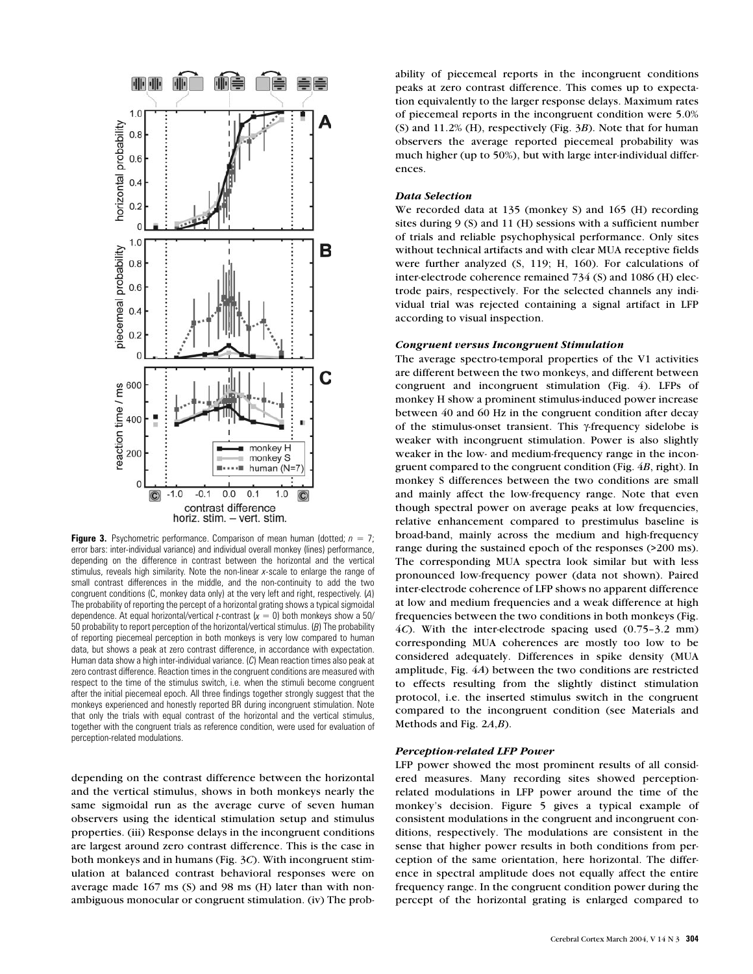

**Figure 3.** Psychometric performance. Comparison of mean human (dotted;  $n = 7$ ; error bars: inter-individual variance) and individual overall monkey (lines) performance, depending on the difference in contrast between the horizontal and the vertical stimulus, reveals high similarity. Note the non-linear *x*-scale to enlarge the range of small contrast differences in the middle, and the non-continuity to add the two congruent conditions (C, monkey data only) at the very left and right, respectively. (*A*) The probability of reporting the percept of a horizontal grating shows a typical sigmoidal dependence. At equal horizontal/vertical *t*-contrast  $(x = 0)$  both monkeys show a 50/ 50 probability to report perception of the horizontal/vertical stimulus. (*B*) The probability of reporting piecemeal perception in both monkeys is very low compared to human data, but shows a peak at zero contrast difference, in accordance with expectation. Human data show a high inter-individual variance. (*C*) Mean reaction times also peak at zero contrast difference. Reaction times in the congruent conditions are measured with respect to the time of the stimulus switch, i.e. when the stimuli become congruent after the initial piecemeal epoch. All three findings together strongly suggest that the monkeys experienced and honestly reported BR during incongruent stimulation. Note that only the trials with equal contrast of the horizontal and the vertical stimulus, together with the congruent trials as reference condition, were used for evaluation of perception-related modulations.

depending on the contrast difference between the horizontal and the vertical stimulus, shows in both monkeys nearly the same sigmoidal run as the average curve of seven human observers using the identical stimulation setup and stimulus properties. (iii) Response delays in the incongruent conditions are largest around zero contrast difference. This is the case in both monkeys and in humans (Fig. 3*C*). With incongruent stimulation at balanced contrast behavioral responses were on average made 167 ms (S) and 98 ms (H) later than with nonambiguous monocular or congruent stimulation. (iv) The probability of piecemeal reports in the incongruent conditions peaks at zero contrast difference. This comes up to expectation equivalently to the larger response delays. Maximum rates of piecemeal reports in the incongruent condition were 5.0% (S) and 11.2% (H), respectively (Fig. 3*B*). Note that for human observers the average reported piecemeal probability was much higher (up to 50%), but with large inter-individual differences.

# *Data Selection*

We recorded data at 135 (monkey S) and 165 (H) recording sites during 9 (S) and 11 (H) sessions with a sufficient number of trials and reliable psychophysical performance. Only sites without technical artifacts and with clear MUA receptive fields were further analyzed (S, 119; H, 160). For calculations of inter-electrode coherence remained 734 (S) and 1086 (H) electrode pairs, respectively. For the selected channels any individual trial was rejected containing a signal artifact in LFP according to visual inspection.

# *Congruent versus Incongruent Stimulation*

The average spectro-temporal properties of the V1 activities are different between the two monkeys, and different between congruent and incongruent stimulation (Fig. 4). LFPs of monkey H show a prominent stimulus-induced power increase between 40 and 60 Hz in the congruent condition after decay of the stimulus-onset transient. This γ-frequency sidelobe is weaker with incongruent stimulation. Power is also slightly weaker in the low- and medium-frequency range in the incongruent compared to the congruent condition (Fig. 4*B*, right). In monkey S differences between the two conditions are small and mainly affect the low-frequency range. Note that even though spectral power on average peaks at low frequencies, relative enhancement compared to prestimulus baseline is broad-band, mainly across the medium and high-frequency range during the sustained epoch of the responses (>200 ms). The corresponding MUA spectra look similar but with less pronounced low-frequency power (data not shown). Paired inter-electrode coherence of LFP shows no apparent difference at low and medium frequencies and a weak difference at high frequencies between the two conditions in both monkeys (Fig. 4*C*). With the inter-electrode spacing used (0.75–3.2 mm) corresponding MUA coherences are mostly too low to be considered adequately. Differences in spike density (MUA amplitude, Fig. 4*A*) between the two conditions are restricted to effects resulting from the slightly distinct stimulation protocol, i.e. the inserted stimulus switch in the congruent compared to the incongruent condition (see Materials and Methods and Fig. 2*A*,*B*).

# *Perception-related LFP Power*

LFP power showed the most prominent results of all considered measures. Many recording sites showed perceptionrelated modulations in LFP power around the time of the monkey's decision. Figure 5 gives a typical example of consistent modulations in the congruent and incongruent conditions, respectively. The modulations are consistent in the sense that higher power results in both conditions from perception of the same orientation, here horizontal. The difference in spectral amplitude does not equally affect the entire frequency range. In the congruent condition power during the percept of the horizontal grating is enlarged compared to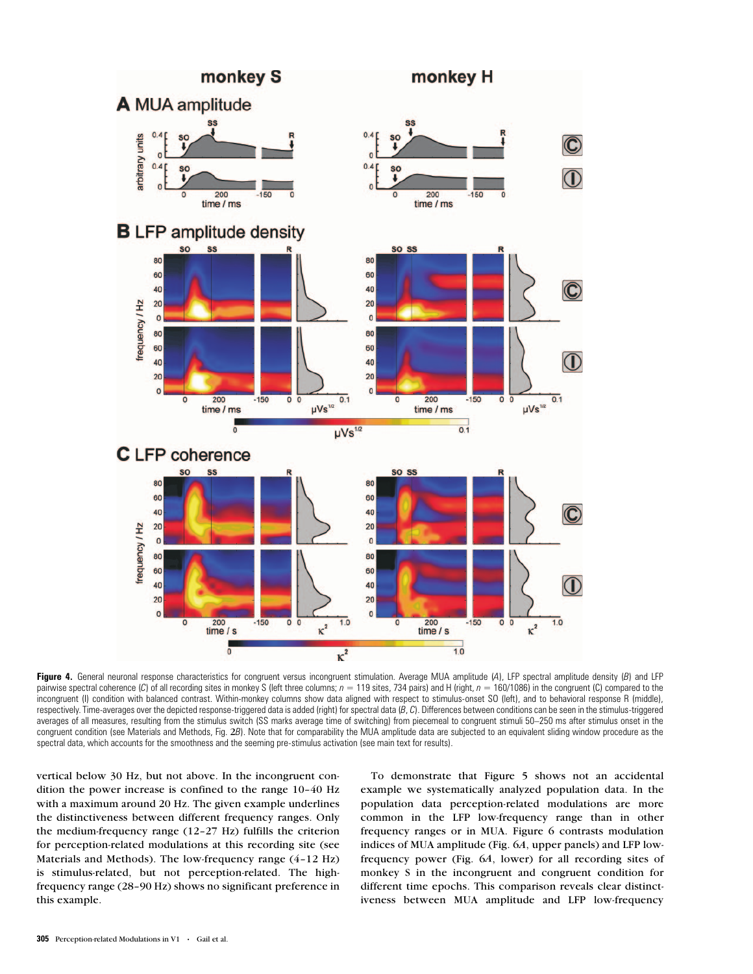

Figure 4. General neuronal response characteristics for congruent versus incongruent stimulation. Average MUA amplitude (A), LFP spectral amplitude density (B) and LFP pairwise spectral coherence (*C*) of all recording sites in monkey S (left three columns;  $n = 119$  sites, 734 pairs) and H (right,  $n = 160/1086$ ) in the congruent (C) compared to the incongruent (I) condition with balanced contrast. Within-monkey columns show data aligned with respect to stimulus-onset SO (left), and to behavioral response R (middle), respectively. Time-averages over the depicted response-triggered data is added (right) for spectral data (*B*, *C*). Differences between conditions can be seen in the stimulus-triggered averages of all measures, resulting from the stimulus switch (SS marks average time of switching) from piecemeal to congruent stimuli 50–250 ms after stimulus onset in the congruent condition (see Materials and Methods, Fig. 2*B*). Note that for comparability the MUA amplitude data are subjected to an equivalent sliding window procedure as the spectral data, which accounts for the smoothness and the seeming pre-stimulus activation (see main text for results).

vertical below 30 Hz, but not above. In the incongruent condition the power increase is confined to the range 10–40 Hz with a maximum around 20 Hz. The given example underlines the distinctiveness between different frequency ranges. Only the medium-frequency range (12–27 Hz) fulfills the criterion for perception-related modulations at this recording site (see Materials and Methods). The low-frequency range (4–12 Hz) is stimulus-related, but not perception-related. The highfrequency range (28–90 Hz) shows no significant preference in this example.

To demonstrate that Figure 5 shows not an accidental example we systematically analyzed population data. In the population data perception-related modulations are more common in the LFP low-frequency range than in other frequency ranges or in MUA. Figure 6 contrasts modulation indices of MUA amplitude (Fig. 6*A*, upper panels) and LFP lowfrequency power (Fig. 6*A*, lower) for all recording sites of monkey S in the incongruent and congruent condition for different time epochs. This comparison reveals clear distinctiveness between MUA amplitude and LFP low-frequency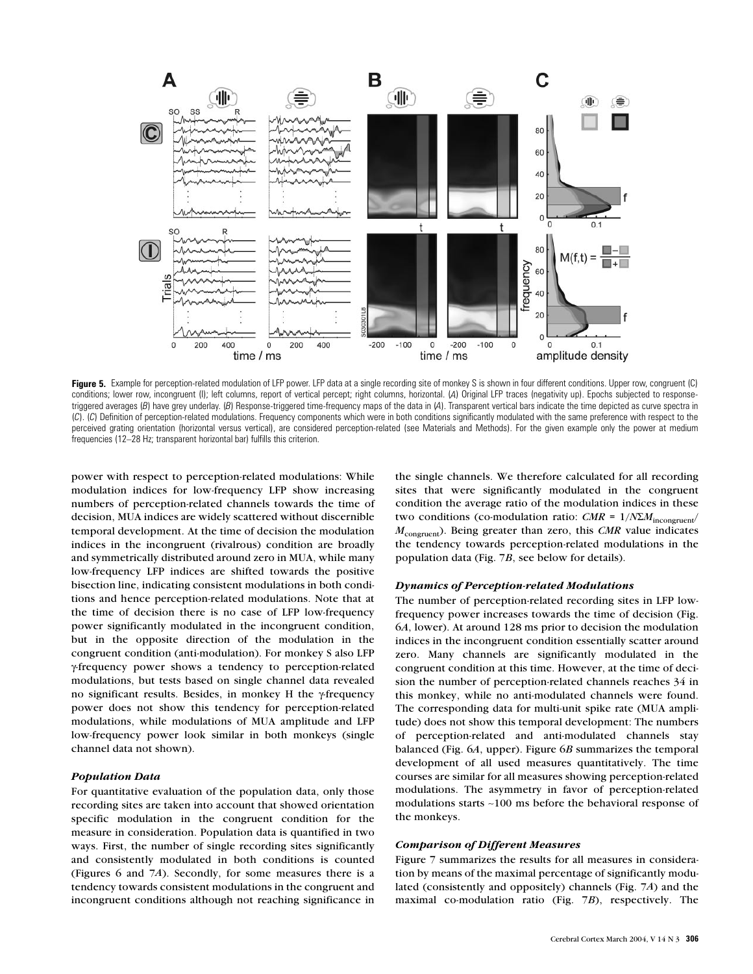

Figure 5. Example for perception-related modulation of LFP power. LFP data at a single recording site of monkey S is shown in four different conditions. Upper row, congruent (C) conditions; lower row, incongruent (I); left columns, report of vertical percept; right columns, horizontal. (*A*) Original LFP traces (negativity up). Epochs subjected to responsetriggered averages (*B*) have grey underlay. (*B*) Response-triggered time-frequency maps of the data in (*A*). Transparent vertical bars indicate the time depicted as curve spectra in (*C*). (*C*) Definition of perception-related modulations. Frequency components which were in both conditions significantly modulated with the same preference with respect to the perceived grating orientation (horizontal versus vertical), are considered perception-related (see Materials and Methods). For the given example only the power at medium frequencies (12–28 Hz; transparent horizontal bar) fulfills this criterion.

power with respect to perception-related modulations: While modulation indices for low-frequency LFP show increasing numbers of perception-related channels towards the time of decision, MUA indices are widely scattered without discernible temporal development. At the time of decision the modulation indices in the incongruent (rivalrous) condition are broadly and symmetrically distributed around zero in MUA, while many low-frequency LFP indices are shifted towards the positive bisection line, indicating consistent modulations in both conditions and hence perception-related modulations. Note that at the time of decision there is no case of LFP low-frequency power significantly modulated in the incongruent condition, but in the opposite direction of the modulation in the congruent condition (anti-modulation). For monkey S also LFP γ-frequency power shows a tendency to perception-related modulations, but tests based on single channel data revealed no significant results. Besides, in monkey H the γ-frequency power does not show this tendency for perception-related modulations, while modulations of MUA amplitude and LFP low-frequency power look similar in both monkeys (single channel data not shown).

# *Population Data*

For quantitative evaluation of the population data, only those recording sites are taken into account that showed orientation specific modulation in the congruent condition for the measure in consideration. Population data is quantified in two ways. First, the number of single recording sites significantly and consistently modulated in both conditions is counted (Figures 6 and 7*A*). Secondly, for some measures there is a tendency towards consistent modulations in the congruent and incongruent conditions although not reaching significance in

the single channels. We therefore calculated for all recording sites that were significantly modulated in the congruent condition the average ratio of the modulation indices in these two conditions (co-modulation ratio:  $CMR = 1/N\sum M_{\text{incongruent}}/$ *M*congruent). Being greater than zero, this *CMR* value indicates the tendency towards perception-related modulations in the population data (Fig. 7*B*, see below for details).

## *Dynamics of Perception-related Modulations*

The number of perception-related recording sites in LFP lowfrequency power increases towards the time of decision (Fig. 6*A*, lower). At around 128 ms prior to decision the modulation indices in the incongruent condition essentially scatter around zero. Many channels are significantly modulated in the congruent condition at this time. However, at the time of decision the number of perception-related channels reaches 34 in this monkey, while no anti-modulated channels were found. The corresponding data for multi-unit spike rate (MUA amplitude) does not show this temporal development: The numbers of perception-related and anti-modulated channels stay balanced (Fig. 6*A*, upper). Figure 6*B* summarizes the temporal development of all used measures quantitatively. The time courses are similar for all measures showing perception-related modulations. The asymmetry in favor of perception-related modulations starts ∼100 ms before the behavioral response of the monkeys.

# *Comparison of Different Measures*

Figure 7 summarizes the results for all measures in consideration by means of the maximal percentage of significantly modulated (consistently and oppositely) channels (Fig. 7*A*) and the maximal co-modulation ratio (Fig. 7*B*), respectively. The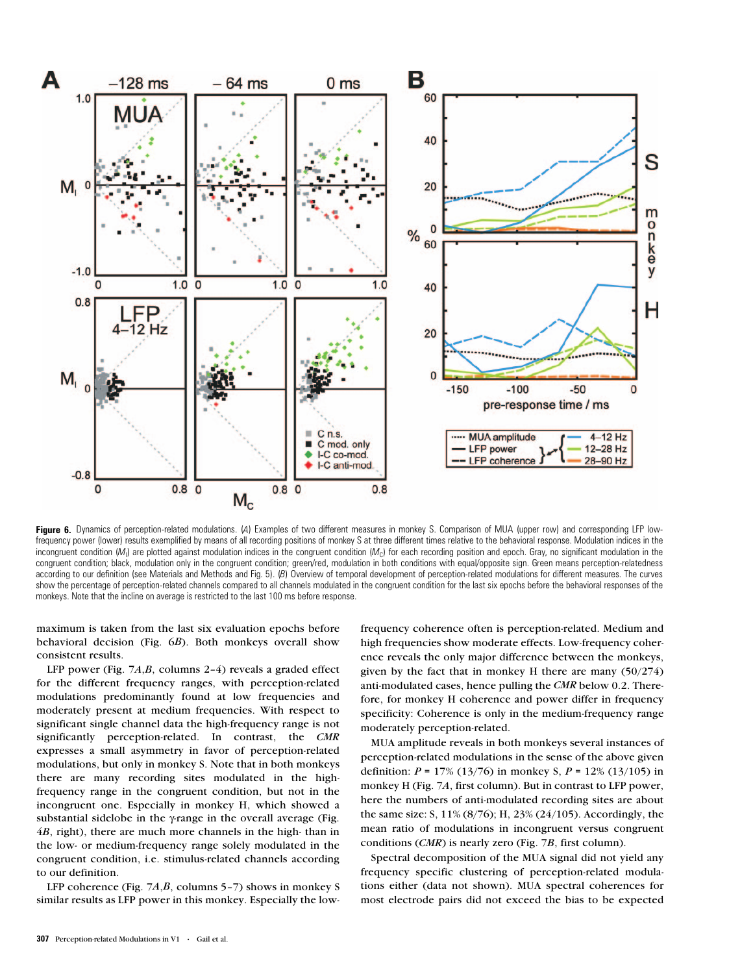

**Figure 6.** Dynamics of perception-related modulations. (*A*) Examples of two different measures in monkey S. Comparison of MUA (upper row) and corresponding LFP lowfrequency power (lower) results exemplified by means of all recording positions of monkey S at three different times relative to the behavioral response. Modulation indices in the incongruent condition (M<sub>I</sub>) are plotted against modulation indices in the congruent condition (M<sub>C</sub>) for each recording position and epoch. Gray, no significant modulation in the congruent condition; black, modulation only in the congruent condition; green/red, modulation in both conditions with equal/opposite sign. Green means perception-relatedness according to our definition (see Materials and Methods and Fig. 5). (B) Overview of temporal development of perception-related modulations for different measures. The curves show the percentage of perception-related channels compared to all channels modulated in the congruent condition for the last six epochs before the behavioral responses of the monkeys. Note that the incline on average is restricted to the last 100 ms before response.

maximum is taken from the last six evaluation epochs before behavioral decision (Fig. 6*B*). Both monkeys overall show consistent results.

LFP power (Fig. 7*A*,*B*, columns 2–4) reveals a graded effect for the different frequency ranges, with perception-related modulations predominantly found at low frequencies and moderately present at medium frequencies. With respect to significant single channel data the high-frequency range is not significantly perception-related. In contrast, the *CMR* expresses a small asymmetry in favor of perception-related modulations, but only in monkey S. Note that in both monkeys there are many recording sites modulated in the highfrequency range in the congruent condition, but not in the incongruent one. Especially in monkey H, which showed a substantial sidelobe in the γ-range in the overall average (Fig. 4*B*, right), there are much more channels in the high- than in the low- or medium-frequency range solely modulated in the congruent condition, i.e. stimulus-related channels according to our definition.

LFP coherence (Fig. 7*A*,*B*, columns 5–7) shows in monkey S similar results as LFP power in this monkey. Especially the lowfrequency coherence often is perception-related. Medium and high frequencies show moderate effects. Low-frequency coherence reveals the only major difference between the monkeys, given by the fact that in monkey H there are many (50/274) anti-modulated cases, hence pulling the *CMR* below 0.2. Therefore, for monkey H coherence and power differ in frequency specificity: Coherence is only in the medium-frequency range moderately perception-related.

MUA amplitude reveals in both monkeys several instances of perception-related modulations in the sense of the above given definition: *P* = 17% (13/76) in monkey S, *P* = 12% (13/105) in monkey H (Fig. 7*A*, first column). But in contrast to LFP power, here the numbers of anti-modulated recording sites are about the same size: S, 11% (8/76); H, 23% (24/105). Accordingly, the mean ratio of modulations in incongruent versus congruent conditions (*CMR*) is nearly zero (Fig. 7*B*, first column).

Spectral decomposition of the MUA signal did not yield any frequency specific clustering of perception-related modulations either (data not shown). MUA spectral coherences for most electrode pairs did not exceed the bias to be expected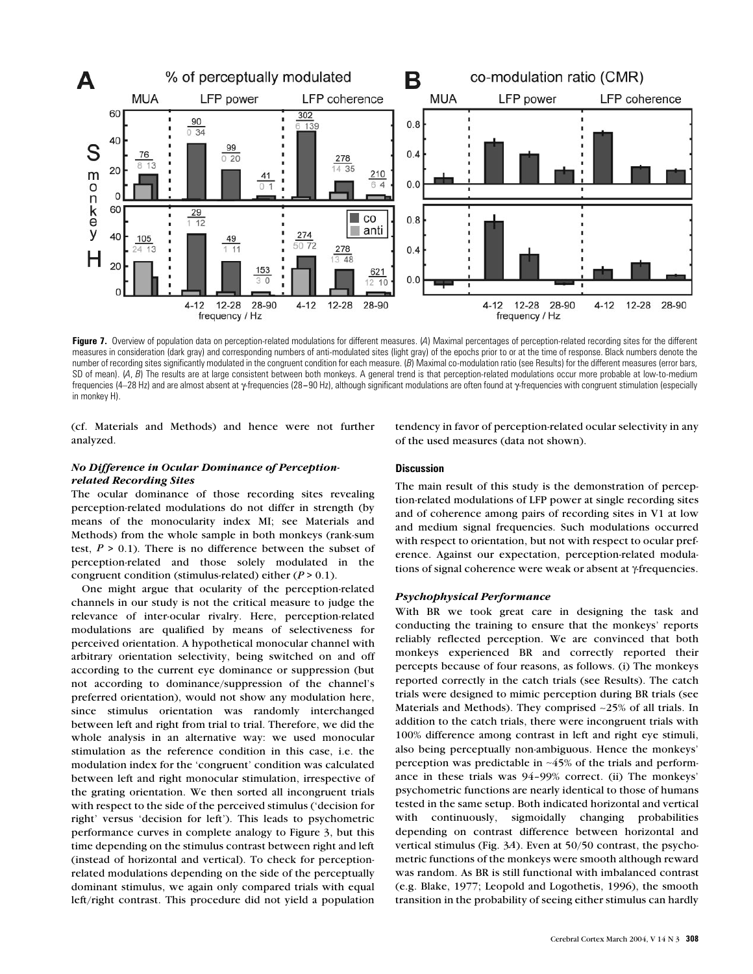

**Figure 7.** Overview of population data on perception-related modulations for different measures. (*A*) Maximal percentages of perception-related recording sites for the different measures in consideration (dark gray) and corresponding numbers of anti-modulated sites (light gray) of the epochs prior to or at the time of response. Black numbers denote the number of recording sites significantly modulated in the congruent condition for each measure. (*B*) Maximal co-modulation ratio (see Results) for the different measures (error bars, SD of mean). (A, B) The results are at large consistent between both monkeys. A general trend is that perception-related modulations occur more probable at low-to-medium frequencies (4–28 Hz) and are almost absent at γ-frequencies (28–90 Hz), although significant modulations are often found at γ-frequencies with congruent stimulation (especially in monkey H).

(cf. Materials and Methods) and hence were not further analyzed.

# *No Difference in Ocular Dominance of Perceptionrelated Recording Sites*

The ocular dominance of those recording sites revealing perception-related modulations do not differ in strength (by means of the monocularity index MI; see Materials and Methods) from the whole sample in both monkeys (rank-sum test,  $P > 0.1$ ). There is no difference between the subset of perception-related and those solely modulated in the congruent condition (stimulus-related) either (*P* > 0.1).

One might argue that ocularity of the perception-related channels in our study is not the critical measure to judge the relevance of inter-ocular rivalry. Here, perception-related modulations are qualified by means of selectiveness for perceived orientation. A hypothetical monocular channel with arbitrary orientation selectivity, being switched on and off according to the current eye dominance or suppression (but not according to dominance/suppression of the channel's preferred orientation), would not show any modulation here, since stimulus orientation was randomly interchanged between left and right from trial to trial. Therefore, we did the whole analysis in an alternative way: we used monocular stimulation as the reference condition in this case, i.e. the modulation index for the 'congruent' condition was calculated between left and right monocular stimulation, irrespective of the grating orientation. We then sorted all incongruent trials with respect to the side of the perceived stimulus ('decision for right' versus 'decision for left'). This leads to psychometric performance curves in complete analogy to Figure 3, but this time depending on the stimulus contrast between right and left (instead of horizontal and vertical). To check for perceptionrelated modulations depending on the side of the perceptually dominant stimulus, we again only compared trials with equal left/right contrast. This procedure did not yield a population

tendency in favor of perception-related ocular selectivity in any of the used measures (data not shown).

# **Discussion**

The main result of this study is the demonstration of perception-related modulations of LFP power at single recording sites and of coherence among pairs of recording sites in V1 at low and medium signal frequencies. Such modulations occurred with respect to orientation, but not with respect to ocular preference. Against our expectation, perception-related modulations of signal coherence were weak or absent at γ-frequencies.

# *Psychophysical Performance*

With BR we took great care in designing the task and conducting the training to ensure that the monkeys' reports reliably reflected perception. We are convinced that both monkeys experienced BR and correctly reported their percepts because of four reasons, as follows. (i) The monkeys reported correctly in the catch trials (see Results). The catch trials were designed to mimic perception during BR trials (see Materials and Methods). They comprised ∼25% of all trials. In addition to the catch trials, there were incongruent trials with 100% difference among contrast in left and right eye stimuli, also being perceptually non-ambiguous. Hence the monkeys' perception was predictable in ∼45% of the trials and performance in these trials was 94–99% correct. (ii) The monkeys' psychometric functions are nearly identical to those of humans tested in the same setup. Both indicated horizontal and vertical with continuously, sigmoidally changing probabilities depending on contrast difference between horizontal and vertical stimulus (Fig. 3*A*). Even at 50/50 contrast, the psychometric functions of the monkeys were smooth although reward was random. As BR is still functional with imbalanced contrast (e.g. Blake, 1977; Leopold and Logothetis, 1996), the smooth transition in the probability of seeing either stimulus can hardly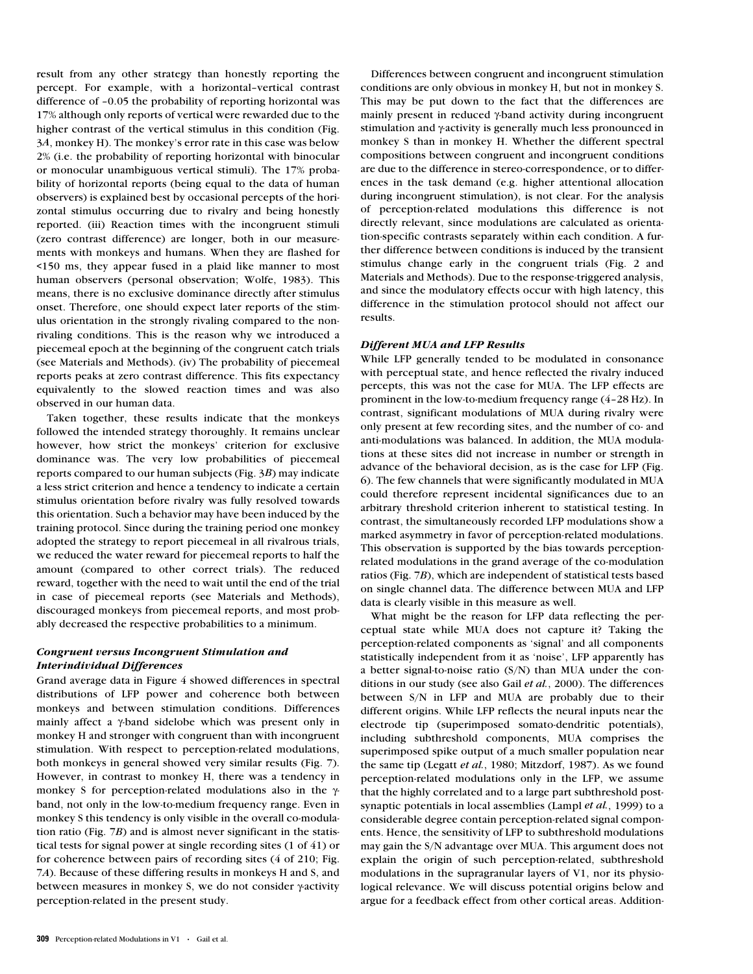result from any other strategy than honestly reporting the percept. For example, with a horizontal–vertical contrast difference of –0.05 the probability of reporting horizontal was 17% although only reports of vertical were rewarded due to the higher contrast of the vertical stimulus in this condition (Fig. 3*A*, monkey H). The monkey's error rate in this case was below 2% (i.e. the probability of reporting horizontal with binocular or monocular unambiguous vertical stimuli). The 17% probability of horizontal reports (being equal to the data of human observers) is explained best by occasional percepts of the horizontal stimulus occurring due to rivalry and being honestly reported. (iii) Reaction times with the incongruent stimuli (zero contrast difference) are longer, both in our measurements with monkeys and humans. When they are flashed for <150 ms, they appear fused in a plaid like manner to most human observers (personal observation; Wolfe, 1983). This means, there is no exclusive dominance directly after stimulus onset. Therefore, one should expect later reports of the stimulus orientation in the strongly rivaling compared to the nonrivaling conditions. This is the reason why we introduced a piecemeal epoch at the beginning of the congruent catch trials (see Materials and Methods). (iv) The probability of piecemeal reports peaks at zero contrast difference. This fits expectancy equivalently to the slowed reaction times and was also observed in our human data.

Taken together, these results indicate that the monkeys followed the intended strategy thoroughly. It remains unclear however, how strict the monkeys' criterion for exclusive dominance was. The very low probabilities of piecemeal reports compared to our human subjects (Fig. 3*B*) may indicate a less strict criterion and hence a tendency to indicate a certain stimulus orientation before rivalry was fully resolved towards this orientation. Such a behavior may have been induced by the training protocol. Since during the training period one monkey adopted the strategy to report piecemeal in all rivalrous trials, we reduced the water reward for piecemeal reports to half the amount (compared to other correct trials). The reduced reward, together with the need to wait until the end of the trial in case of piecemeal reports (see Materials and Methods), discouraged monkeys from piecemeal reports, and most probably decreased the respective probabilities to a minimum.

# *Congruent versus Incongruent Stimulation and Interindividual Differences*

Grand average data in Figure 4 showed differences in spectral distributions of LFP power and coherence both between monkeys and between stimulation conditions. Differences mainly affect a γ-band sidelobe which was present only in monkey H and stronger with congruent than with incongruent stimulation. With respect to perception-related modulations, both monkeys in general showed very similar results (Fig. 7). However, in contrast to monkey H, there was a tendency in monkey S for perception-related modulations also in the γband, not only in the low-to-medium frequency range. Even in monkey S this tendency is only visible in the overall co-modulation ratio (Fig. 7*B*) and is almost never significant in the statistical tests for signal power at single recording sites (1 of 41) or for coherence between pairs of recording sites (4 of 210; Fig. 7*A*). Because of these differing results in monkeys H and S, and between measures in monkey S, we do not consider γ-activity perception-related in the present study.

Differences between congruent and incongruent stimulation conditions are only obvious in monkey H, but not in monkey S. This may be put down to the fact that the differences are mainly present in reduced γ-band activity during incongruent stimulation and γ-activity is generally much less pronounced in monkey S than in monkey H. Whether the different spectral compositions between congruent and incongruent conditions are due to the difference in stereo-correspondence, or to differences in the task demand (e.g. higher attentional allocation during incongruent stimulation), is not clear. For the analysis of perception-related modulations this difference is not directly relevant, since modulations are calculated as orientation-specific contrasts separately within each condition. A further difference between conditions is induced by the transient stimulus change early in the congruent trials (Fig. 2 and Materials and Methods). Due to the response-triggered analysis, and since the modulatory effects occur with high latency, this difference in the stimulation protocol should not affect our results.

# *Different MUA and LFP Results*

While LFP generally tended to be modulated in consonance with perceptual state, and hence reflected the rivalry induced percepts, this was not the case for MUA. The LFP effects are prominent in the low-to-medium frequency range (4–28 Hz). In contrast, significant modulations of MUA during rivalry were only present at few recording sites, and the number of co- and anti-modulations was balanced. In addition, the MUA modulations at these sites did not increase in number or strength in advance of the behavioral decision, as is the case for LFP (Fig. 6). The few channels that were significantly modulated in MUA could therefore represent incidental significances due to an arbitrary threshold criterion inherent to statistical testing. In contrast, the simultaneously recorded LFP modulations show a marked asymmetry in favor of perception-related modulations. This observation is supported by the bias towards perceptionrelated modulations in the grand average of the co-modulation ratios (Fig. 7*B*), which are independent of statistical tests based on single channel data. The difference between MUA and LFP data is clearly visible in this measure as well.

What might be the reason for LFP data reflecting the perceptual state while MUA does not capture it? Taking the perception-related components as 'signal' and all components statistically independent from it as 'noise', LFP apparently has a better signal-to-noise ratio (S/N) than MUA under the conditions in our study (see also Gail *et al.*, 2000). The differences between S/N in LFP and MUA are probably due to their different origins. While LFP reflects the neural inputs near the electrode tip (superimposed somato-dendritic potentials), including subthreshold components, MUA comprises the superimposed spike output of a much smaller population near the same tip (Legatt *et al.*, 1980; Mitzdorf, 1987). As we found perception-related modulations only in the LFP, we assume that the highly correlated and to a large part subthreshold postsynaptic potentials in local assemblies (Lampl *et al.*, 1999) to a considerable degree contain perception-related signal components. Hence, the sensitivity of LFP to subthreshold modulations may gain the S/N advantage over MUA. This argument does not explain the origin of such perception-related, subthreshold modulations in the supragranular layers of V1, nor its physiological relevance. We will discuss potential origins below and argue for a feedback effect from other cortical areas. Addition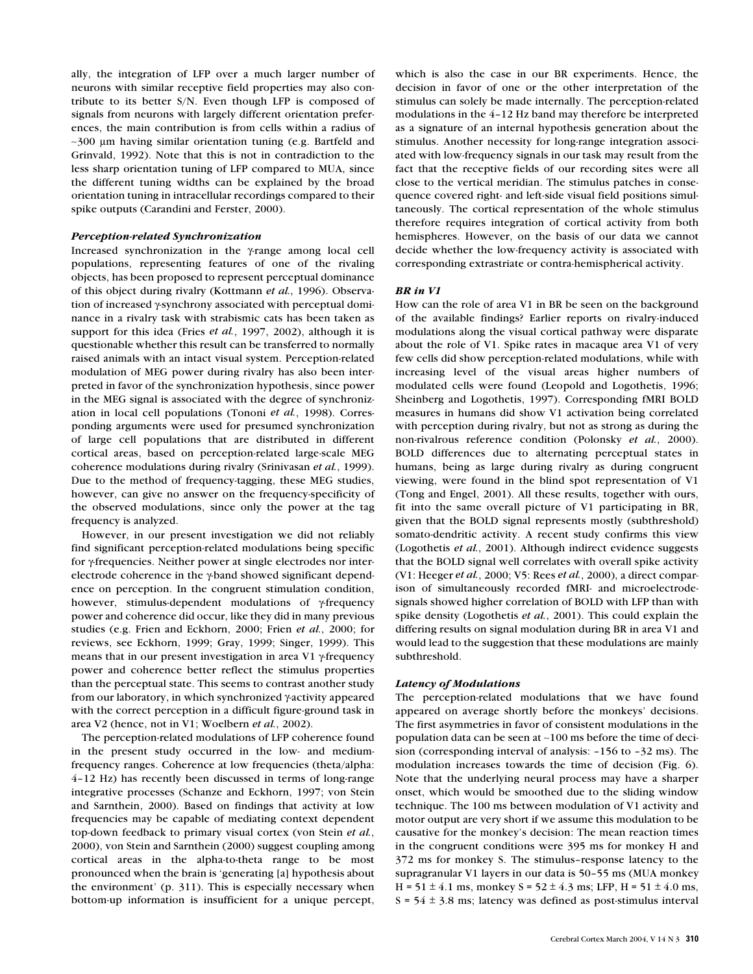ally, the integration of LFP over a much larger number of neurons with similar receptive field properties may also contribute to its better S/N. Even though LFP is composed of signals from neurons with largely different orientation preferences, the main contribution is from cells within a radius of ∼300 µm having similar orientation tuning (e.g. Bartfeld and Grinvald, 1992). Note that this is not in contradiction to the less sharp orientation tuning of LFP compared to MUA, since the different tuning widths can be explained by the broad orientation tuning in intracellular recordings compared to their spike outputs (Carandini and Ferster, 2000).

# *Perception-related Synchronization*

Increased synchronization in the γ-range among local cell populations, representing features of one of the rivaling objects, has been proposed to represent perceptual dominance of this object during rivalry (Kottmann *et al.*, 1996). Observation of increased γ-synchrony associated with perceptual dominance in a rivalry task with strabismic cats has been taken as support for this idea (Fries *et al.*, 1997, 2002), although it is questionable whether this result can be transferred to normally raised animals with an intact visual system. Perception-related modulation of MEG power during rivalry has also been interpreted in favor of the synchronization hypothesis, since power in the MEG signal is associated with the degree of synchronization in local cell populations (Tononi *et al.*, 1998). Corresponding arguments were used for presumed synchronization of large cell populations that are distributed in different cortical areas, based on perception-related large-scale MEG coherence modulations during rivalry (Srinivasan *et al.*, 1999). Due to the method of frequency-tagging, these MEG studies, however, can give no answer on the frequency-specificity of the observed modulations, since only the power at the tag frequency is analyzed.

However, in our present investigation we did not reliably find significant perception-related modulations being specific for γ-frequencies. Neither power at single electrodes nor interelectrode coherence in the γ-band showed significant dependence on perception. In the congruent stimulation condition, however, stimulus-dependent modulations of γ-frequency power and coherence did occur, like they did in many previous studies (e.g. Frien and Eckhorn, 2000; Frien *et al.*, 2000; for reviews, see Eckhorn, 1999; Gray, 1999; Singer, 1999). This means that in our present investigation in area V1 γ-frequency power and coherence better reflect the stimulus properties than the perceptual state. This seems to contrast another study from our laboratory, in which synchronized γ-activity appeared with the correct perception in a difficult figure-ground task in area V2 (hence, not in V1; Woelbern *et al.*, 2002).

The perception-related modulations of LFP coherence found in the present study occurred in the low- and mediumfrequency ranges. Coherence at low frequencies (theta/alpha: 4–12 Hz) has recently been discussed in terms of long-range integrative processes (Schanze and Eckhorn, 1997; von Stein and Sarnthein, 2000). Based on findings that activity at low frequencies may be capable of mediating context dependent top-down feedback to primary visual cortex (von Stein *et al.*, 2000), von Stein and Sarnthein (2000) suggest coupling among cortical areas in the alpha-to-theta range to be most pronounced when the brain is 'generating [a] hypothesis about the environment' (p. 311). This is especially necessary when bottom-up information is insufficient for a unique percept,

which is also the case in our BR experiments. Hence, the decision in favor of one or the other interpretation of the stimulus can solely be made internally. The perception-related modulations in the 4–12 Hz band may therefore be interpreted as a signature of an internal hypothesis generation about the stimulus. Another necessity for long-range integration associated with low-frequency signals in our task may result from the fact that the receptive fields of our recording sites were all close to the vertical meridian. The stimulus patches in consequence covered right- and left-side visual field positions simultaneously. The cortical representation of the whole stimulus therefore requires integration of cortical activity from both hemispheres. However, on the basis of our data we cannot decide whether the low-frequency activity is associated with corresponding extrastriate or contra-hemispherical activity.

### *BR in V1*

How can the role of area V1 in BR be seen on the background of the available findings? Earlier reports on rivalry-induced modulations along the visual cortical pathway were disparate about the role of V1. Spike rates in macaque area V1 of very few cells did show perception-related modulations, while with increasing level of the visual areas higher numbers of modulated cells were found (Leopold and Logothetis, 1996; Sheinberg and Logothetis, 1997). Corresponding fMRI BOLD measures in humans did show V1 activation being correlated with perception during rivalry, but not as strong as during the non-rivalrous reference condition (Polonsky *et al.*, 2000). BOLD differences due to alternating perceptual states in humans, being as large during rivalry as during congruent viewing, were found in the blind spot representation of V1 (Tong and Engel, 2001). All these results, together with ours, fit into the same overall picture of V1 participating in BR, given that the BOLD signal represents mostly (subthreshold) somato-dendritic activity. A recent study confirms this view (Logothetis *et al.*, 2001). Although indirect evidence suggests that the BOLD signal well correlates with overall spike activity (V1: Heeger *et al.*, 2000; V5: Rees *et al.*, 2000), a direct comparison of simultaneously recorded fMRI- and microelectrodesignals showed higher correlation of BOLD with LFP than with spike density (Logothetis *et al.*, 2001). This could explain the differing results on signal modulation during BR in area V1 and would lead to the suggestion that these modulations are mainly subthreshold.

#### *Latency of Modulations*

The perception-related modulations that we have found appeared on average shortly before the monkeys' decisions. The first asymmetries in favor of consistent modulations in the population data can be seen at ∼100 ms before the time of decision (corresponding interval of analysis: –156 to –32 ms). The modulation increases towards the time of decision (Fig. 6). Note that the underlying neural process may have a sharper onset, which would be smoothed due to the sliding window technique. The 100 ms between modulation of V1 activity and motor output are very short if we assume this modulation to be causative for the monkey's decision: The mean reaction times in the congruent conditions were 395 ms for monkey H and 372 ms for monkey S. The stimulus–response latency to the supragranular V1 layers in our data is 50–55 ms (MUA monkey H =  $51 \pm 4.1$  ms, monkey S =  $52 \pm 4.3$  ms; LFP, H =  $51 \pm 4.0$  ms,  $S = 54 \pm 3.8$  ms; latency was defined as post-stimulus interval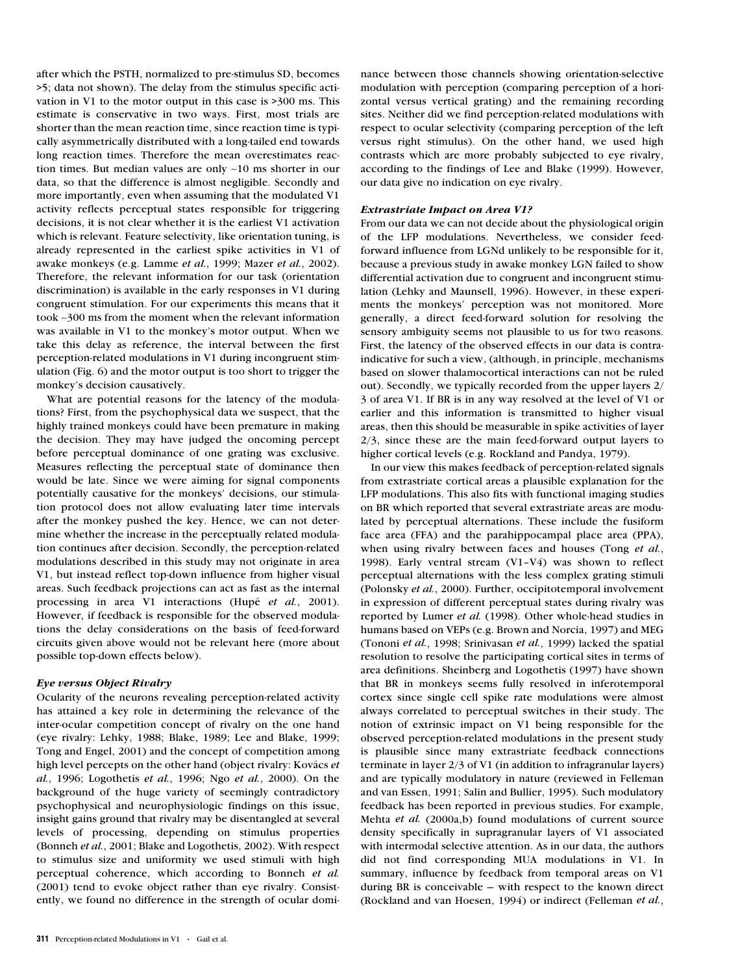after which the PSTH, normalized to pre-stimulus SD, becomes >5; data not shown). The delay from the stimulus specific activation in V1 to the motor output in this case is >300 ms. This estimate is conservative in two ways. First, most trials are shorter than the mean reaction time, since reaction time is typically asymmetrically distributed with a long-tailed end towards long reaction times. Therefore the mean overestimates reaction times. But median values are only ∼10 ms shorter in our data, so that the difference is almost negligible. Secondly and more importantly, even when assuming that the modulated V1 activity reflects perceptual states responsible for triggering decisions, it is not clear whether it is the earliest V1 activation which is relevant. Feature selectivity, like orientation tuning, is already represented in the earliest spike activities in V1 of awake monkeys (e.g. Lamme *et al.*, 1999; Mazer *et al.*, 2002). Therefore, the relevant information for our task (orientation discrimination) is available in the early responses in V1 during congruent stimulation. For our experiments this means that it took ∼300 ms from the moment when the relevant information was available in V1 to the monkey's motor output. When we take this delay as reference, the interval between the first perception-related modulations in V1 during incongruent stimulation (Fig. 6) and the motor output is too short to trigger the monkey's decision causatively.

What are potential reasons for the latency of the modulations? First, from the psychophysical data we suspect, that the highly trained monkeys could have been premature in making the decision. They may have judged the oncoming percept before perceptual dominance of one grating was exclusive. Measures reflecting the perceptual state of dominance then would be late. Since we were aiming for signal components potentially causative for the monkeys' decisions, our stimulation protocol does not allow evaluating later time intervals after the monkey pushed the key. Hence, we can not determine whether the increase in the perceptually related modulation continues after decision. Secondly, the perception-related modulations described in this study may not originate in area V1, but instead reflect top-down influence from higher visual areas. Such feedback projections can act as fast as the internal processing in area V1 interactions (Hupé *et al.*, 2001). However, if feedback is responsible for the observed modulations the delay considerations on the basis of feed-forward circuits given above would not be relevant here (more about possible top-down effects below).

# *Eye versus Object Rivalry*

Ocularity of the neurons revealing perception-related activity has attained a key role in determining the relevance of the inter-ocular competition concept of rivalry on the one hand (eye rivalry: Lehky, 1988; Blake, 1989; Lee and Blake, 1999; Tong and Engel, 2001) and the concept of competition among high level percepts on the other hand (object rivalry: Kovács *et al.*, 1996; Logothetis *et al.*, 1996; Ngo *et al.*, 2000). On the background of the huge variety of seemingly contradictory psychophysical and neurophysiologic findings on this issue, insight gains ground that rivalry may be disentangled at several levels of processing, depending on stimulus properties (Bonneh *et al.*, 2001; Blake and Logothetis, 2002). With respect to stimulus size and uniformity we used stimuli with high perceptual coherence, which according to Bonneh *et al.* (2001) tend to evoke object rather than eye rivalry. Consistently, we found no difference in the strength of ocular domi-

### *Extrastriate Impact on Area V1?*

From our data we can not decide about the physiological origin of the LFP modulations. Nevertheless, we consider feedforward influence from LGNd unlikely to be responsible for it, because a previous study in awake monkey LGN failed to show differential activation due to congruent and incongruent stimulation (Lehky and Maunsell, 1996). However, in these experiments the monkeys' perception was not monitored. More generally, a direct feed-forward solution for resolving the sensory ambiguity seems not plausible to us for two reasons. First, the latency of the observed effects in our data is contraindicative for such a view, (although, in principle, mechanisms based on slower thalamocortical interactions can not be ruled out). Secondly, we typically recorded from the upper layers 2/ 3 of area V1. If BR is in any way resolved at the level of V1 or earlier and this information is transmitted to higher visual areas, then this should be measurable in spike activities of layer 2/3, since these are the main feed-forward output layers to higher cortical levels (e.g. Rockland and Pandya, 1979).

In our view this makes feedback of perception-related signals from extrastriate cortical areas a plausible explanation for the LFP modulations. This also fits with functional imaging studies on BR which reported that several extrastriate areas are modulated by perceptual alternations. These include the fusiform face area (FFA) and the parahippocampal place area (PPA), when using rivalry between faces and houses (Tong *et al.*, 1998). Early ventral stream (V1–V4) was shown to reflect perceptual alternations with the less complex grating stimuli (Polonsky *et al.*, 2000). Further, occipitotemporal involvement in expression of different perceptual states during rivalry was reported by Lumer *et al.* (1998). Other whole-head studies in humans based on VEPs (e.g. Brown and Norcia, 1997) and MEG (Tononi *et al.*, 1998; Srinivasan *et al.*, 1999) lacked the spatial resolution to resolve the participating cortical sites in terms of area definitions. Sheinberg and Logothetis (1997) have shown that BR in monkeys seems fully resolved in inferotemporal cortex since single cell spike rate modulations were almost always correlated to perceptual switches in their study. The notion of extrinsic impact on V1 being responsible for the observed perception-related modulations in the present study is plausible since many extrastriate feedback connections terminate in layer 2/3 of V1 (in addition to infragranular layers) and are typically modulatory in nature (reviewed in Felleman and van Essen, 1991; Salin and Bullier, 1995). Such modulatory feedback has been reported in previous studies. For example, Mehta *et al.* (2000a,b) found modulations of current source density specifically in supragranular layers of V1 associated with intermodal selective attention. As in our data, the authors did not find corresponding MUA modulations in V1. In summary, influence by feedback from temporal areas on V1 during BR is conceivable — with respect to the known direct (Rockland and van Hoesen, 1994) or indirect (Felleman *et al.*,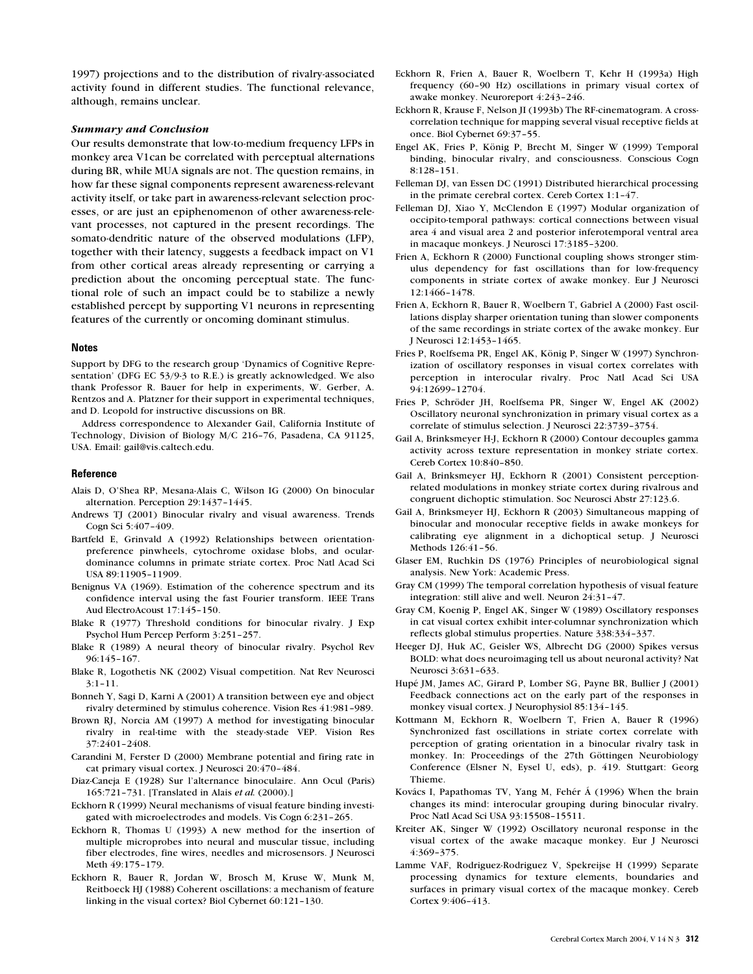1997) projections and to the distribution of rivalry-associated activity found in different studies. The functional relevance, although, remains unclear.

# *Summary and Conclusion*

Our results demonstrate that low-to-medium frequency LFPs in monkey area V1can be correlated with perceptual alternations during BR, while MUA signals are not. The question remains, in how far these signal components represent awareness-relevant activity itself, or take part in awareness-relevant selection processes, or are just an epiphenomenon of other awareness-relevant processes, not captured in the present recordings. The somato-dendritic nature of the observed modulations (LFP), together with their latency, suggests a feedback impact on V1 from other cortical areas already representing or carrying a prediction about the oncoming perceptual state. The functional role of such an impact could be to stabilize a newly established percept by supporting V1 neurons in representing features of the currently or oncoming dominant stimulus.

#### **Notes**

Support by DFG to the research group 'Dynamics of Cognitive Representation' (DFG EC 53/9-3 to R.E.) is greatly acknowledged. We also thank Professor R. Bauer for help in experiments, W. Gerber, A. Rentzos and A. Platzner for their support in experimental techniques, and D. Leopold for instructive discussions on BR.

Address correspondence to Alexander Gail, California Institute of Technology, Division of Biology M/C 216–76, Pasadena, CA 91125, USA. Email: gail@vis.caltech.edu.

#### **Reference**

- Alais D, O'Shea RP, Mesana-Alais C, Wilson IG (2000) On binocular alternation. Perception 29:1437–1445.
- Andrews TJ (2001) Binocular rivalry and visual awareness. Trends Cogn Sci 5:407–409.
- Bartfeld E, Grinvald A (1992) Relationships between orientationpreference pinwheels, cytochrome oxidase blobs, and oculardominance columns in primate striate cortex. Proc Natl Acad Sci USA 89:11905–11909.
- Benignus VA (1969). Estimation of the coherence spectrum and its confidence interval using the fast Fourier transform. IEEE Trans Aud ElectroAcoust 17:145–150.
- Blake R (1977) Threshold conditions for binocular rivalry. J Exp Psychol Hum Percep Perform 3:251–257.
- Blake R (1989) A neural theory of binocular rivalry. Psychol Rev 96:145–167.
- Blake R, Logothetis NK (2002) Visual competition. Nat Rev Neurosci 3:1–11.
- Bonneh Y, Sagi D, Karni A (2001) A transition between eye and object rivalry determined by stimulus coherence. Vision Res 41:981–989.
- Brown RJ, Norcia AM (1997) A method for investigating binocular rivalry in real-time with the steady-stade VEP. Vision Res 37:2401–2408.
- Carandini M, Ferster D (2000) Membrane potential and firing rate in cat primary visual cortex. J Neurosci 20:470–484.
- Diaz-Caneja E (1928) Sur l'alternance binoculaire. Ann Ocul (Paris) 165:721–731. [Translated in Alais *et al.* (2000).]
- Eckhorn R (1999) Neural mechanisms of visual feature binding investigated with microelectrodes and models. Vis Cogn 6:231–265.
- Eckhorn R, Thomas U (1993) A new method for the insertion of multiple microprobes into neural and muscular tissue, including fiber electrodes, fine wires, needles and microsensors. J Neurosci Meth 49:175–179.
- Eckhorn R, Bauer R, Jordan W, Brosch M, Kruse W, Munk M, Reitboeck HJ (1988) Coherent oscillations: a mechanism of feature linking in the visual cortex? Biol Cybernet 60:121–130.
- Eckhorn R, Frien A, Bauer R, Woelbern T, Kehr H (1993a) High frequency (60–90 Hz) oscillations in primary visual cortex of awake monkey. Neuroreport 4:243–246.
- Eckhorn R, Krause F, Nelson JI (1993b) The RF-cinematogram. A crosscorrelation technique for mapping several visual receptive fields at once. Biol Cybernet 69:37–55.
- Engel AK, Fries P, König P, Brecht M, Singer W (1999) Temporal binding, binocular rivalry, and consciousness. Conscious Cogn 8:128–151.
- Felleman DJ, van Essen DC (1991) Distributed hierarchical processing in the primate cerebral cortex. Cereb Cortex 1:1–47.
- Felleman DJ, Xiao Y, McClendon E (1997) Modular organization of occipito-temporal pathways: cortical connections between visual area 4 and visual area 2 and posterior inferotemporal ventral area in macaque monkeys. J Neurosci 17:3185–3200.
- Frien A, Eckhorn R (2000) Functional coupling shows stronger stimulus dependency for fast oscillations than for low-frequency components in striate cortex of awake monkey. Eur J Neurosci 12:1466–1478.
- Frien A, Eckhorn R, Bauer R, Woelbern T, Gabriel A (2000) Fast oscillations display sharper orientation tuning than slower components of the same recordings in striate cortex of the awake monkey. Eur J Neurosci 12:1453–1465.
- Fries P, Roelfsema PR, Engel AK, König P, Singer W (1997) Synchronization of oscillatory responses in visual cortex correlates with perception in interocular rivalry. Proc Natl Acad Sci USA 94:12699–12704.
- Fries P, Schröder JH, Roelfsema PR, Singer W, Engel AK (2002) Oscillatory neuronal synchronization in primary visual cortex as a correlate of stimulus selection. J Neurosci 22:3739–3754.
- Gail A, Brinksmeyer H-J, Eckhorn R (2000) Contour decouples gamma activity across texture representation in monkey striate cortex. Cereb Cortex 10:840–850.
- Gail A, Brinksmeyer HJ, Eckhorn R (2001) Consistent perceptionrelated modulations in monkey striate cortex during rivalrous and congruent dichoptic stimulation. Soc Neurosci Abstr 27:123.6.
- Gail A, Brinksmeyer HJ, Eckhorn R (2003) Simultaneous mapping of binocular and monocular receptive fields in awake monkeys for calibrating eye alignment in a dichoptical setup. J Neurosci Methods 126:41–56.
- Glaser EM, Ruchkin DS (1976) Principles of neurobiological signal analysis. New York: Academic Press.
- Gray CM (1999) The temporal correlation hypothesis of visual feature integration: still alive and well. Neuron 24:31–47.
- Gray CM, Koenig P, Engel AK, Singer W (1989) Oscillatory responses in cat visual cortex exhibit inter-columnar synchronization which reflects global stimulus properties. Nature 338:334–337.
- Heeger DJ, Huk AC, Geisler WS, Albrecht DG (2000) Spikes versus BOLD: what does neuroimaging tell us about neuronal activity? Nat Neurosci 3:631–633.
- Hupé JM, James AC, Girard P, Lomber SG, Payne BR, Bullier J (2001) Feedback connections act on the early part of the responses in monkey visual cortex. J Neurophysiol 85:134–145.
- Kottmann M, Eckhorn R, Woelbern T, Frien A, Bauer R (1996) Synchronized fast oscillations in striate cortex correlate with perception of grating orientation in a binocular rivalry task in monkey. In: Proceedings of the 27th Göttingen Neurobiology Conference (Elsner N, Eysel U, eds), p. 419. Stuttgart: Georg Thieme.
- Kovács I, Papathomas TV, Yang M, Fehér Á (1996) When the brain changes its mind: interocular grouping during binocular rivalry. Proc Natl Acad Sci USA 93:15508–15511.
- Kreiter AK, Singer W (1992) Oscillatory neuronal response in the visual cortex of the awake macaque monkey. Eur J Neurosci 4:369–375.
- Lamme VAF, Rodriguez-Rodriguez V, Spekreijse H (1999) Separate processing dynamics for texture elements, boundaries and surfaces in primary visual cortex of the macaque monkey. Cereb Cortex 9:406–413.